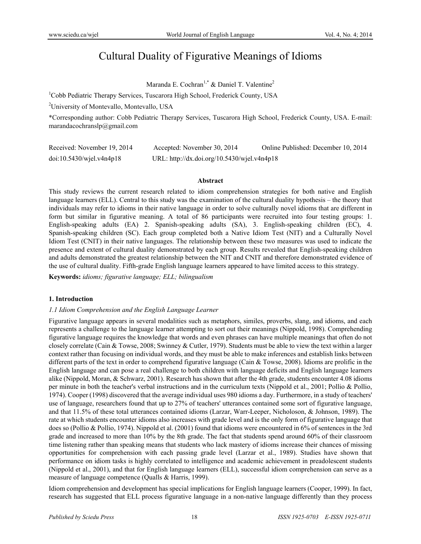# Cultural Duality of Figurative Meanings of Idioms

Maranda E. Cochran<sup>1,\*</sup> & Daniel T. Valentine<sup>2</sup>

<sup>1</sup>Cobb Pediatric Therapy Services, Tuscarora High School, Frederick County, USA

<sup>2</sup>University of Montevallo, Montevallo, USA

\*Corresponding author: Cobb Pediatric Therapy Services, Tuscarora High School, Frederick County, USA. E-mail: marandacochranslp@gmail.com

| Received: November 19, 2014 | Accepted: November 30, 2014                 | Online Published: December 10, 2014 |
|-----------------------------|---------------------------------------------|-------------------------------------|
| $doi:10.5430/w$ jel.v4n4p18 | URL: http://dx.doi.org/10.5430/wjel.v4n4p18 |                                     |

#### **Abstract**

This study reviews the current research related to idiom comprehension strategies for both native and English language learners (ELL). Central to this study was the examination of the cultural duality hypothesis – the theory that individuals may refer to idioms in their native language in order to solve culturally novel idioms that are different in form but similar in figurative meaning. A total of 86 participants were recruited into four testing groups: 1. English-speaking adults (EA) 2. Spanish-speaking adults (SA), 3. English-speaking children (EC), 4. Spanish-speaking children (SC). Each group completed both a Native Idiom Test (NIT) and a Culturally Novel Idiom Test (CNIT) in their native languages. The relationship between these two measures was used to indicate the presence and extent of cultural duality demonstrated by each group. Results revealed that English-speaking children and adults demonstrated the greatest relationship between the NIT and CNIT and therefore demonstrated evidence of the use of cultural duality. Fifth-grade English language learners appeared to have limited access to this strategy.

**Keywords:** *idioms; figurative language; ELL; bilingualism* 

## **1. Introduction**

## *1.1 Idiom Comprehension and the English Language Learner*

Figurative language appears in several modalities such as metaphors, similes, proverbs, slang, and idioms, and each represents a challenge to the language learner attempting to sort out their meanings (Nippold, 1998). Comprehending figurative language requires the knowledge that words and even phrases can have multiple meanings that often do not closely correlate (Cain & Towse, 2008; Swinney & Cutler, 1979). Students must be able to view the text within a larger context rather than focusing on individual words, and they must be able to make inferences and establish links between different parts of the text in order to comprehend figurative language (Cain & Towse, 2008). Idioms are prolific in the English language and can pose a real challenge to both children with language deficits and English language learners alike (Nippold, Moran, & Schwarz, 2001). Research has shown that after the 4th grade, students encounter 4.08 idioms per minute in both the teacher's verbal instructions and in the curriculum texts (Nippold et al., 2001; Pollio & Pollio, 1974). Cooper (1998) discovered that the average individual uses 980 idioms a day. Furthermore, in a study of teachers' use of language, researchers found that up to 27% of teachers' utterances contained some sort of figurative language, and that 11.5% of these total utterances contained idioms (Larzar, Warr-Leeper, Nicholoson, & Johnson, 1989). The rate at which students encounter idioms also increases with grade level and is the only form of figurative language that does so (Pollio & Pollio, 1974). Nippold et al. (2001) found that idioms were encountered in 6% of sentences in the 3rd grade and increased to more than 10% by the 8th grade. The fact that students spend around 60% of their classroom time listening rather than speaking means that students who lack mastery of idioms increase their chances of missing opportunities for comprehension with each passing grade level (Larzar et al., 1989). Studies have shown that performance on idiom tasks is highly correlated to intelligence and academic achievement in preadolescent students (Nippold et al., 2001), and that for English language learners (ELL), successful idiom comprehension can serve as a measure of language competence (Qualls & Harris, 1999).

Idiom comprehension and development has special implications for English language learners (Cooper, 1999). In fact, research has suggested that ELL process figurative language in a non-native language differently than they process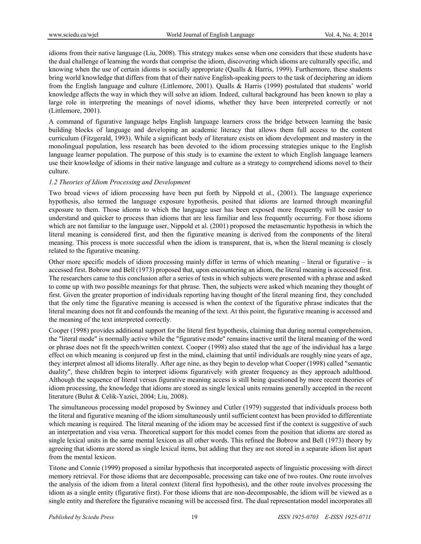idioms from their native language (Liu, 2008). This strategy makes sense when one considers that these students have the dual challenge of learning the words that comprise the idiom, discovering which idioms are culturally specific, and knowing when the use of certain idioms is socially appropriate (Qualls & Harris, 1999). Furthermore, these students bring world knowledge that differs from that of their native English-speaking peers to the task of deciphering an idiom from the English language and culture (Littlemore, 2001). Qualls & Harris (1999) postulated that students' world knowledge affects the way in which they will solve an idiom. Indeed, cultural background has been known to play a large role in interpreting the meanings of novel idioms, whether they have been interpreted correctly or not (Littlemore, 2001).

A command of figurative language helps English language learners cross the bridge between learning the basic building blocks of language and developing an academic literacy that allows them full access to the content curriculum (Fitzgerald, 1993). While a significant body of literature exists on idiom development and mastery in the monolingual population, less research has been devoted to the idiom processing strategies unique to the English language learner population. The purpose of this study is to examine the extent to which English language learners use their knowledge of idioms in their native language and culture as a strategy to comprehend idioms novel to their culture.

## *1.2 Theories of Idiom Processing and Development*

Two broad views of idiom processing have been put forth by Nippold et al., (2001). The language experience hypothesis, also termed the language exposure hypothesis, posited that idioms are learned through meaningful exposure to them. Those idioms to which the language user has been exposed more frequently will be easier to understand and quicker to process than idioms that are less familiar and less frequently occurring. For those idioms which are not familiar to the language user, Nippold et al. (2001) proposed the metasemantic hypothesis in which the literal meaning is considered first, and then the figurative meaning is derived from the components of the literal meaning. This process is more successful when the idiom is transparent, that is, when the literal meaning is closely related to the figurative meaning.

Other more specific models of idiom processing mainly differ in terms of which meaning – literal or figurative – is accessed first. Bobrow and Bell (1973) proposed that, upon encountering an idiom, the literal meaning is accessed first. The researchers came to this conclusion after a series of tests in which subjects were presented with a phrase and asked to come up with two possible meanings for that phrase. Then, the subjects were asked which meaning they thought of first. Given the greater proportion of individuals reporting having thought of the literal meaning first, they concluded that the only time the figurative meaning is accessed is when the context of the figurative phrase indicates that the literal meaning does not fit and confounds the meaning of the text. At this point, the figurative meaning is accessed and the meaning of the text interpreted correctly.

Cooper (1998) provides additional support for the literal first hypothesis, claiming that during normal comprehension, the "literal mode" is normally active while the "figurative mode" remains inactive until the literal meaning of the word or phrase does not fit the speech/written context. Cooper (1998) also stated that the age of the individual has a large effect on which meaning is conjured up first in the mind, claiming that until individuals are roughly nine years of age, they interpret almost all idioms literally. After age nine, as they begin to develop what Cooper (1998) called "semantic duality", these children begin to interpret idioms figuratively with greater frequency as they approach adulthood. Although the sequence of literal versus figurative meaning access is still being questioned by more recent theories of idiom processing, the knowledge that idioms are stored as single lexical units remains generally accepted in the recent literature (Bulut & Celik-Yazici, 2004; Liu, 2008).

The simultaneous processing model proposed by Swinney and Cutler (1979) suggested that individuals process both the literal and figurative meaning of the idiom simultaneously until sufficient context has been provided to differentiate which meaning is required. The literal meaning of the idiom may be accessed first if the context is suggestive of such an interpretation and visa versa. Theoretical support for this model comes from the position that idioms are stored as single lexical units in the same mental lexicon as all other words. This refined the Bobrow and Bell (1973) theory by agreeing that idioms are stored as single lexical items, but adding that they are not stored in a separate idiom list apart from the mental lexicon.

Titone and Connie (1999) proposed a similar hypothesis that incorporated aspects of linguistic processing with direct memory retrieval. For those idioms that are decomposable, processing can take one of two routes. One route involves the analysis of the idiom from a literal context (literal first hypothesis), and the other route involves processing the idiom as a single entity (figurative first). For those idioms that are non-decomposable, the idiom will be viewed as a single entity and therefore the figurative meaning will be accessed first. The dual representation model incorporates all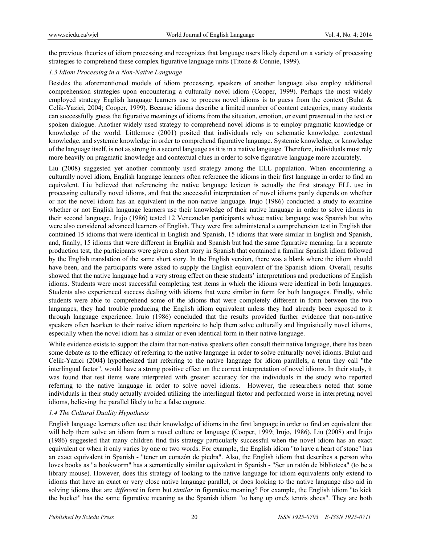the previous theories of idiom processing and recognizes that language users likely depend on a variety of processing strategies to comprehend these complex figurative language units (Titone & Connie, 1999).

## *1.3 Idiom Processing in a Non-Native Language*

Besides the aforementioned models of idiom processing, speakers of another language also employ additional comprehension strategies upon encountering a culturally novel idiom (Cooper, 1999). Perhaps the most widely employed strategy English language learners use to process novel idioms is to guess from the context (Bulut  $\&$ Celik-Yazici, 2004; Cooper, 1999). Because idioms describe a limited number of content categories, many students can successfully guess the figurative meanings of idioms from the situation, emotion, or event presented in the text or spoken dialogue. Another widely used strategy to comprehend novel idioms is to employ pragmatic knowledge or knowledge of the world. Littlemore (2001) posited that individuals rely on schematic knowledge, contextual knowledge, and systemic knowledge in order to comprehend figurative language. Systemic knowledge, or knowledge of the language itself, is not as strong in a second language as it is in a native language. Therefore, individuals must rely more heavily on pragmatic knowledge and contextual clues in order to solve figurative language more accurately.

Liu (2008) suggested yet another commonly used strategy among the ELL population. When encountering a culturally novel idiom, English language learners often reference the idioms in their first language in order to find an equivalent. Liu believed that referencing the native language lexicon is actually the first strategy ELL use in processing culturally novel idioms, and that the successful interpretation of novel idioms partly depends on whether or not the novel idiom has an equivalent in the non-native language. Irujo (1986) conducted a study to examine whether or not English language learners use their knowledge of their native language in order to solve idioms in their second language. Irujo (1986) tested 12 Venezuelan participants whose native language was Spanish but who were also considered advanced learners of English. They were first administered a comprehension test in English that contained 15 idioms that were identical in English and Spanish, 15 idioms that were similar in English and Spanish, and, finally, 15 idioms that were different in English and Spanish but had the same figurative meaning. In a separate production test, the participants were given a short story in Spanish that contained a familiar Spanish idiom followed by the English translation of the same short story. In the English version, there was a blank where the idiom should have been, and the participants were asked to supply the English equivalent of the Spanish idiom. Overall, results showed that the native language had a very strong effect on these students' interpretations and productions of English idioms. Students were most successful completing test items in which the idioms were identical in both languages. Students also experienced success dealing with idioms that were similar in form for both languages. Finally, while students were able to comprehend some of the idioms that were completely different in form between the two languages, they had trouble producing the English idiom equivalent unless they had already been exposed to it through language experience. Irujo (1986) concluded that the results provided further evidence that non-native speakers often hearken to their native idiom repertoire to help them solve culturally and linguistically novel idioms, especially when the novel idiom has a similar or even identical form in their native language.

While evidence exists to support the claim that non-native speakers often consult their native language, there has been some debate as to the efficacy of referring to the native language in order to solve culturally novel idioms. Bulut and Celik-Yazici (2004) hypothesized that referring to the native language for idiom parallels, a term they call "the interlingual factor", would have a strong positive effect on the correct interpretation of novel idioms. In their study, it was found that test items were interpreted with greater accuracy for the individuals in the study who reported referring to the native language in order to solve novel idioms. However, the researchers noted that some individuals in their study actually avoided utilizing the interlingual factor and performed worse in interpreting novel idioms, believing the parallel likely to be a false cognate.

## *1.4 The Cultural Duality Hypothesis*

English language learners often use their knowledge of idioms in the first language in order to find an equivalent that will help them solve an idiom from a novel culture or language (Cooper, 1999; Irujo, 1986). Liu (2008) and Irujo (1986) suggested that many children find this strategy particularly successful when the novel idiom has an exact equivalent or when it only varies by one or two words. For example, the English idiom "to have a heart of stone" has an exact equivalent in Spanish - "tener un corazón de piedra". Also, the English idiom that describes a person who loves books as "a bookworm" has a semantically similar equivalent in Spanish - "Ser un ratón de biblioteca" (to be a library mouse). However, does this strategy of looking to the native language for idiom equivalents only extend to idioms that have an exact or very close native language parallel, or does looking to the native language also aid in solving idioms that are *different* in form but *similar* in figurative meaning? For example, the English idiom "to kick the bucket" has the same figurative meaning as the Spanish idiom "to hang up one's tennis shoes". They are both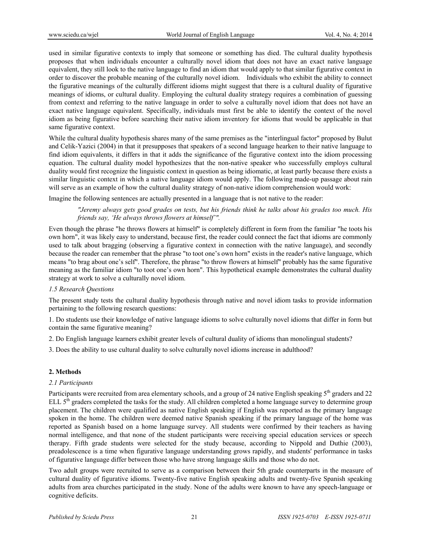used in similar figurative contexts to imply that someone or something has died. The cultural duality hypothesis proposes that when individuals encounter a culturally novel idiom that does not have an exact native language equivalent, they still look to the native language to find an idiom that would apply to that similar figurative context in order to discover the probable meaning of the culturally novel idiom. Individuals who exhibit the ability to connect the figurative meanings of the culturally different idioms might suggest that there is a cultural duality of figurative meanings of idioms, or cultural duality. Employing the cultural duality strategy requires a combination of guessing from context and referring to the native language in order to solve a culturally novel idiom that does not have an exact native language equivalent. Specifically, individuals must first be able to identify the context of the novel idiom as being figurative before searching their native idiom inventory for idioms that would be applicable in that same figurative context.

While the cultural duality hypothesis shares many of the same premises as the "interlingual factor" proposed by Bulut and Celik-Yazici (2004) in that it presupposes that speakers of a second language hearken to their native language to find idiom equivalents, it differs in that it adds the significance of the figurative context into the idiom processing equation. The cultural duality model hypothesizes that the non-native speaker who successfully employs cultural duality would first recognize the linguistic context in question as being idiomatic, at least partly because there exists a similar linguistic context in which a native language idiom would apply. The following made-up passage about rain will serve as an example of how the cultural duality strategy of non-native idiom comprehension would work:

Imagine the following sentences are actually presented in a language that is not native to the reader:

*"Jeremy always gets good grades on tests, but his friends think he talks about his grades too much. His friends say, 'He always throws flowers at himself'".* 

Even though the phrase "he throws flowers at himself" is completely different in form from the familiar "he toots his own horn", it was likely easy to understand, because first, the reader could connect the fact that idioms are commonly used to talk about bragging (observing a figurative context in connection with the native language), and secondly because the reader can remember that the phrase "to toot one's own horn" exists in the reader's native language, which means "to brag about one's self". Therefore, the phrase "to throw flowers at himself" probably has the same figurative meaning as the familiar idiom "to toot one's own horn". This hypothetical example demonstrates the cultural duality strategy at work to solve a culturally novel idiom.

## *1.5 Research Questions*

The present study tests the cultural duality hypothesis through native and novel idiom tasks to provide information pertaining to the following research questions:

1. Do students use their knowledge of native language idioms to solve culturally novel idioms that differ in form but contain the same figurative meaning?

2. Do English language learners exhibit greater levels of cultural duality of idioms than monolingual students?

3. Does the ability to use cultural duality to solve culturally novel idioms increase in adulthood?

# **2. Methods**

## *2.1 Participants*

Participants were recruited from area elementary schools, and a group of 24 native English speaking  $5<sup>th</sup>$  graders and 22 ELL  $5<sup>th</sup>$  graders completed the tasks for the study. All children completed a home language survey to determine group placement. The children were qualified as native English speaking if English was reported as the primary language spoken in the home. The children were deemed native Spanish speaking if the primary language of the home was reported as Spanish based on a home language survey. All students were confirmed by their teachers as having normal intelligence, and that none of the student participants were receiving special education services or speech therapy. Fifth grade students were selected for the study because, according to Nippold and Duthie (2003), preadolescence is a time when figurative language understanding grows rapidly, and students' performance in tasks of figurative language differ between those who have strong language skills and those who do not.

Two adult groups were recruited to serve as a comparison between their 5th grade counterparts in the measure of cultural duality of figurative idioms. Twenty-five native English speaking adults and twenty-five Spanish speaking adults from area churches participated in the study. None of the adults were known to have any speech-language or cognitive deficits.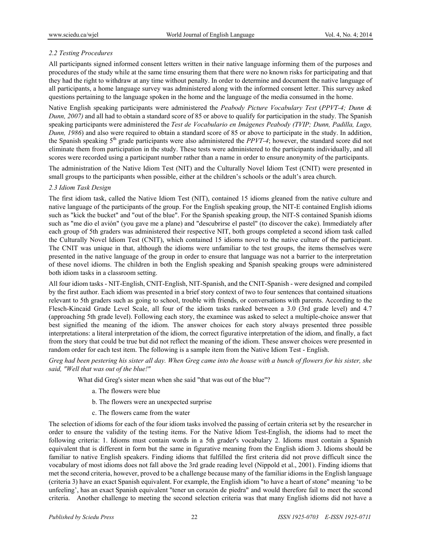## *2.2 Testing Procedures*

All participants signed informed consent letters written in their native language informing them of the purposes and procedures of the study while at the same time ensuring them that there were no known risks for participating and that they had the right to withdraw at any time without penalty. In order to determine and document the native language of all participants, a home language survey was administered along with the informed consent letter. This survey asked questions pertaining to the language spoken in the home and the language of the media consumed in the home.

Native English speaking participants were administered the *Peabody Picture Vocabulary Test* (*PPVT-4; Dunn & Dunn, 2007)* and all had to obtain a standard score of 85 or above to qualify for participation in the study. The Spanish speaking participants were administered the *Test de Vocabulario en Imágenes Peabody (TVIP; Dunn, Padilla, Lugo, Dunn, 1986*) and also were required to obtain a standard score of 85 or above to participate in the study. In addition, the Spanish speaking 5th grade participants were also administered the *PPVT-4*; however, the standard score did not eliminate them from participation in the study. These tests were administered to the participants individually, and all scores were recorded using a participant number rather than a name in order to ensure anonymity of the participants.

The administration of the Native Idiom Test (NIT) and the Culturally Novel Idiom Test (CNIT) were presented in small groups to the participants when possible, either at the children's schools or the adult's area church.

## *2.3 Idiom Task Design*

The first idiom task, called the Native Idiom Test (NIT), contained 15 idioms gleaned from the native culture and native language of the participants of the group. For the English speaking group, the NIT-E contained English idioms such as "kick the bucket" and "out of the blue". For the Spanish speaking group, the NIT-S contained Spanish idioms such as "me dio el avión" (you gave me a plane) and "descubrirse el pastel" (to discover the cake). Immediately after each group of 5th graders was administered their respective NIT, both groups completed a second idiom task called the Culturally Novel Idiom Test (CNIT), which contained 15 idioms novel to the native culture of the participant. The CNIT was unique in that, although the idioms were unfamiliar to the test groups, the items themselves were presented in the native language of the group in order to ensure that language was not a barrier to the interpretation of these novel idioms. The children in both the English speaking and Spanish speaking groups were administered both idiom tasks in a classroom setting.

All four idiom tasks - NIT-English, CNIT-English, NIT-Spanish, and the CNIT-Spanish - were designed and compiled by the first author. Each idiom was presented in a brief story context of two to four sentences that contained situations relevant to 5th graders such as going to school, trouble with friends, or conversations with parents. According to the Flesch-Kincaid Grade Level Scale, all four of the idiom tasks ranked between a 3.0 (3rd grade level) and 4.7 (approaching 5th grade level). Following each story, the examinee was asked to select a multiple-choice answer that best signified the meaning of the idiom. The answer choices for each story always presented three possible interpretations: a literal interpretation of the idiom, the correct figurative interpretation of the idiom, and finally, a fact from the story that could be true but did not reflect the meaning of the idiom. These answer choices were presented in random order for each test item. The following is a sample item from the Native Idiom Test - English.

*Greg had been pestering his sister all day. When Greg came into the house with a bunch of flowers for his sister, she said, "Well that was out of the blue!"* 

What did Greg's sister mean when she said "that was out of the blue"?

- a. The flowers were blue
- b. The flowers were an unexpected surprise
- c. The flowers came from the water

The selection of idioms for each of the four idiom tasks involved the passing of certain criteria set by the researcher in order to ensure the validity of the testing items. For the Native Idiom Test-English, the idioms had to meet the following criteria: 1. Idioms must contain words in a 5th grader's vocabulary 2. Idioms must contain a Spanish equivalent that is different in form but the same in figurative meaning from the English idiom 3. Idioms should be familiar to native English speakers. Finding idioms that fulfilled the first criteria did not prove difficult since the vocabulary of most idioms does not fall above the 3rd grade reading level (Nippold et al., 2001). Finding idioms that met the second criteria, however, proved to be a challenge because many of the familiar idioms in the English language (criteria 3) have an exact Spanish equivalent. For example, the English idiom "to have a heart of stone" meaning 'to be unfeeling', has an exact Spanish equivalent "tener un corazón de piedra" and would therefore fail to meet the second criteria. Another challenge to meeting the second selection criteria was that many English idioms did not have a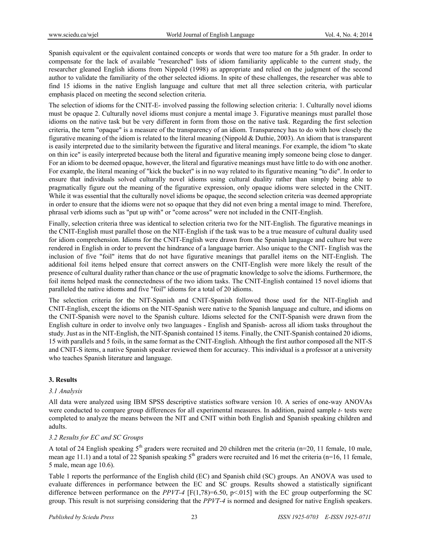Spanish equivalent or the equivalent contained concepts or words that were too mature for a 5th grader. In order to compensate for the lack of available "researched" lists of idiom familiarity applicable to the current study, the researcher gleaned English idioms from Nippold (1998) as appropriate and relied on the judgment of the second author to validate the familiarity of the other selected idioms. In spite of these challenges, the researcher was able to find 15 idioms in the native English language and culture that met all three selection criteria, with particular emphasis placed on meeting the second selection criteria.

The selection of idioms for the CNIT-E- involved passing the following selection criteria: 1. Culturally novel idioms must be opaque 2. Culturally novel idioms must conjure a mental image 3. Figurative meanings must parallel those idioms on the native task but be very different in form from those on the native task. Regarding the first selection criteria, the term "opaque" is a measure of the transparency of an idiom. Transparency has to do with how closely the figurative meaning of the idiom is related to the literal meaning (Nippold & Duthie, 2003). An idiom that is transparent is easily interpreted due to the similarity between the figurative and literal meanings. For example, the idiom "to skate on thin ice" is easily interpreted because both the literal and figurative meaning imply someone being close to danger. For an idiom to be deemed opaque, however, the literal and figurative meanings must have little to do with one another. For example, the literal meaning of "kick the bucket" is in no way related to its figurative meaning "to die". In order to ensure that individuals solved culturally novel idioms using cultural duality rather than simply being able to pragmatically figure out the meaning of the figurative expression, only opaque idioms were selected in the CNIT. While it was essential that the culturally novel idioms be opaque, the second selection criteria was deemed appropriate in order to ensure that the idioms were not so opaque that they did not even bring a mental image to mind. Therefore, phrasal verb idioms such as "put up with" or "come across" were not included in the CNIT-English.

Finally, selection criteria three was identical to selection criteria two for the NIT-English. The figurative meanings in the CNIT-English must parallel those on the NIT-English if the task was to be a true measure of cultural duality used for idiom comprehension. Idioms for the CNIT-English were drawn from the Spanish language and culture but were rendered in English in order to prevent the hindrance of a language barrier. Also unique to the CNIT- English was the inclusion of five "foil" items that do not have figurative meanings that parallel items on the NIT-English. The additional foil items helped ensure that correct answers on the CNIT-English were more likely the result of the presence of cultural duality rather than chance or the use of pragmatic knowledge to solve the idioms. Furthermore, the foil items helped mask the connectedness of the two idiom tasks. The CNIT-English contained 15 novel idioms that paralleled the native idioms and five "foil" idioms for a total of 20 idioms.

The selection criteria for the NIT-Spanish and CNIT-Spanish followed those used for the NIT-English and CNIT-English, except the idioms on the NIT-Spanish were native to the Spanish language and culture, and idioms on the CNIT-Spanish were novel to the Spanish culture. Idioms selected for the CNIT-Spanish were drawn from the English culture in order to involve only two languages - English and Spanish- across all idiom tasks throughout the study. Just as in the NIT-English, the NIT-Spanish contained 15 items. Finally, the CNIT-Spanish contained 20 idioms, 15 with parallels and 5 foils, in the same format as the CNIT-English. Although the first author composed all the NIT-S and CNIT-S items, a native Spanish speaker reviewed them for accuracy. This individual is a professor at a university who teaches Spanish literature and language.

# **3. Results**

## *3.1 Analysis*

All data were analyzed using IBM SPSS descriptive statistics software version 10. A series of one-way ANOVAs were conducted to compare group differences for all experimental measures. In addition, paired sample *t-* tests were completed to analyze the means between the NIT and CNIT within both English and Spanish speaking children and adults.

## *3.2 Results for EC and SC Groups*

A total of 24 English speaking  $5<sup>th</sup>$  graders were recruited and 20 children met the criteria (n=20, 11 female, 10 male, mean age 11.1) and a total of 22 Spanish speaking  $5<sup>th</sup>$  graders were recruited and 16 met the criteria (n=16, 11 female, 5 male, mean age 10.6).

Table 1 reports the performance of the English child (EC) and Spanish child (SC) groups. An ANOVA was used to evaluate differences in performance between the EC and SC groups. Results showed a statistically significant difference between performance on the *PPVT-4*  $[F(1,78)=6.50, p<.015]$  with the EC group outperforming the SC group. This result is not surprising considering that the *PPVT-4* is normed and designed for native English speakers.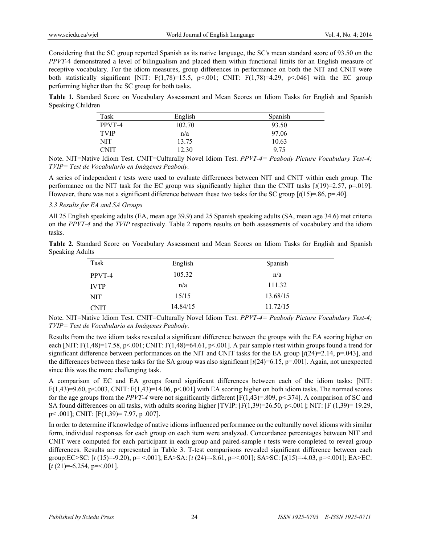Considering that the SC group reported Spanish as its native language, the SC's mean standard score of 93.50 on the *PPVT-*4 demonstrated a level of bilingualism and placed them within functional limits for an English measure of receptive vocabulary. For the idiom measures, group differences in performance on both the NIT and CNIT were both statistically significant [NIT:  $F(1,78)=15.5$ ,  $p<0.01$ ; CNIT:  $F(1,78)=4.29$ ,  $p<0.046$ ] with the EC group performing higher than the SC group for both tasks.

**Table 1.** Standard Score on Vocabulary Assessment and Mean Scores on Idiom Tasks for English and Spanish Speaking Children

| Task        | English | Spanish |
|-------------|---------|---------|
| PPVT-4      | 102.70  | 93.50   |
| <b>TVIP</b> | n/a     | 97.06   |
| NIT         | 13.75   | 10.63   |
| CNIT        | 12.30   | 9.75    |

Note. NIT=Native Idiom Test. CNIT=Culturally Novel Idiom Test. *PPVT-4= Peabody Picture Vocabulary Test-4; TVIP= Test de Vocabulario en Imágenes Peabody.* 

A series of independent *t* tests were used to evaluate differences between NIT and CNIT within each group. The performance on the NIT task for the EC group was significantly higher than the CNIT tasks  $\lceil t(19)=2.57, p=.019$ . However, there was not a significant difference between these two tasks for the SC group  $\lceil t(15)=.86, p=.40$ .

#### *3.3 Results for EA and SA Groups*

All 25 English speaking adults (EA, mean age 39.9) and 25 Spanish speaking adults (SA, mean age 34.6) met criteria on the *PPVT-4* and the *TVIP* respectively. Table 2 reports results on both assessments of vocabulary and the idiom tasks.

**Table 2.** Standard Score on Vocabulary Assessment and Mean Scores on Idiom Tasks for English and Spanish Speaking Adults

| Task        | English  | Spanish  |
|-------------|----------|----------|
| PPVT-4      | 105.32   | n/a      |
| <b>IVTP</b> | n/a      | 111.32   |
| NIT.        | 15/15    | 13.68/15 |
| CNIT        | 14.84/15 | 11.72/15 |

Note. NIT=Native Idiom Test. CNIT=Culturally Novel Idiom Test. *PPVT-4= Peabody Picture Vocabulary Test-4; TVIP= Test de Vocabulario en Imágenes Peabody*.

Results from the two idiom tasks revealed a significant difference between the groups with the EA scoring higher on each [NIT: F(1,48)=17.58, p<.001; CNIT: F(1,48)=64.61, p<.001]. A pair sample *t* test within groups found a trend for significant difference between performances on the NIT and CNIT tasks for the EA group  $\lceil t(24)=2.14, p=.043 \rceil$ , and the differences between these tasks for the SA group was also significant [*t*(24)=6.15, p=.001]. Again, not unexpected since this was the more challenging task.

A comparison of EC and EA groups found significant differences between each of the idiom tasks: [NIT: F(1,43)=9.60, p<.003, CNIT: F(1,43)=14.06, p<.001] with EA scoring higher on both idiom tasks. The normed scores for the age groups from the *PPVT-4* were not significantly different  $[F(1,43)=0.809, p<0.374]$ . A comparison of SC and SA found differences on all tasks, with adults scoring higher [TVIP:  $[F(1,39)=26.50, p<001]$ ; NIT:  $[F(1,39)=19.29, p<sub>1</sub>$ p< .001]; CNIT: [F(1,39)= 7.97, p .007].

In order to determine if knowledge of native idioms influenced performance on the culturally novel idioms with similar form, individual responses for each group on each item were analyzed. Concordance percentages between NIT and CNIT were computed for each participant in each group and paired-sample *t* tests were completed to reveal group differences. Results are represented in Table 3. T-test comparisons revealed significant difference between each group:EC>SC: [*t* (15)=-9.20), p= <.001]; EA>SA: [*t* (24)=-8.61, p=<.001]; SA>SC: [*t*(15)=-4.03, p=<.001]; EA>EC:  $[t(21)=6.254, p=<.001]$ .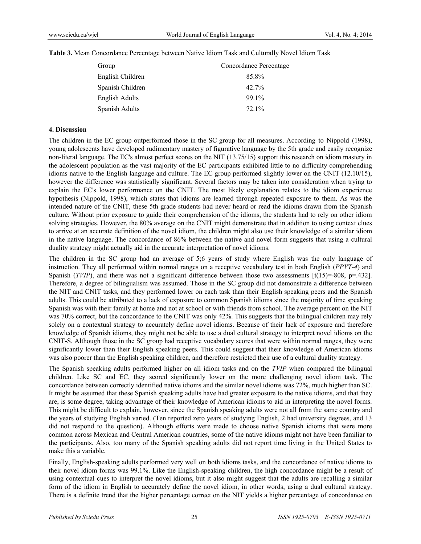| Group            | Concordance Percentage |
|------------------|------------------------|
| English Children | 85.8%                  |
| Spanish Children | $42.7\%$               |
| English Adults   | 99.1%                  |
| Spanish Adults   | 72.1%                  |

**Table 3.** Mean Concordance Percentage between Native Idiom Task and Culturally Novel Idiom Task

#### **4. Discussion**

The children in the EC group outperformed those in the SC group for all measures. According to Nippold (1998), young adolescents have developed rudimentary mastery of figurative language by the 5th grade and easily recognize non-literal language. The EC's almost perfect scores on the NIT (13.75/15) support this research on idiom mastery in the adolescent population as the vast majority of the EC participants exhibited little to no difficulty comprehending idioms native to the English language and culture. The EC group performed slightly lower on the CNIT (12.10/15), however the difference was statistically significant. Several factors may be taken into consideration when trying to explain the EC's lower performance on the CNIT. The most likely explanation relates to the idiom experience hypothesis (Nippold, 1998), which states that idioms are learned through repeated exposure to them. As was the intended nature of the CNIT, these 5th grade students had never heard or read the idioms drawn from the Spanish culture. Without prior exposure to guide their comprehension of the idioms, the students had to rely on other idiom solving strategies. However, the 80% average on the CNIT might demonstrate that in addition to using context clues to arrive at an accurate definition of the novel idiom, the children might also use their knowledge of a similar idiom in the native language. The concordance of 86% between the native and novel form suggests that using a cultural duality strategy might actually aid in the accurate interpretation of novel idioms.

The children in the SC group had an average of 5;6 years of study where English was the only language of instruction. They all performed within normal ranges on a receptive vocabulary test in both English (*PPVT-4*) and Spanish (*TVIP*), and there was not a significant difference between those two assessments  $[t(15)=808, p=.432]$ . Therefore, a degree of bilingualism was assumed. Those in the SC group did not demonstrate a difference between the NIT and CNIT tasks, and they performed lower on each task than their English speaking peers and the Spanish adults. This could be attributed to a lack of exposure to common Spanish idioms since the majority of time speaking Spanish was with their family at home and not at school or with friends from school. The average percent on the NIT was 70% correct, but the concordance to the CNIT was only 42%. This suggests that the bilingual children may rely solely on a contextual strategy to accurately define novel idioms. Because of their lack of exposure and therefore knowledge of Spanish idioms, they might not be able to use a dual cultural strategy to interpret novel idioms on the CNIT-S. Although those in the SC group had receptive vocabulary scores that were within normal ranges, they were significantly lower than their English speaking peers. This could suggest that their knowledge of American idioms was also poorer than the English speaking children, and therefore restricted their use of a cultural duality strategy.

The Spanish speaking adults performed higher on all idiom tasks and on the *TVIP* when compared the bilingual children. Like SC and EC, they scored significantly lower on the more challenging novel idiom task. The concordance between correctly identified native idioms and the similar novel idioms was 72%, much higher than SC. It might be assumed that these Spanish speaking adults have had greater exposure to the native idioms, and that they are, is some degree, taking advantage of their knowledge of American idioms to aid in interpreting the novel forms. This might be difficult to explain, however, since the Spanish speaking adults were not all from the same country and the years of studying English varied. (Ten reported zero years of studying English, 2 had university degrees, and 13 did not respond to the question). Although efforts were made to choose native Spanish idioms that were more common across Mexican and Central American countries, some of the native idioms might not have been familiar to the participants. Also, too many of the Spanish speaking adults did not report time living in the United States to make this a variable.

Finally, English-speaking adults performed very well on both idioms tasks, and the concordance of native idioms to their novel idiom forms was 99.1%. Like the English-speaking children, the high concordance might be a result of using contextual cues to interpret the novel idioms, but it also might suggest that the adults are recalling a similar form of the idiom in English to accurately define the novel idiom, in other words, using a dual cultural strategy. There is a definite trend that the higher percentage correct on the NIT yields a higher percentage of concordance on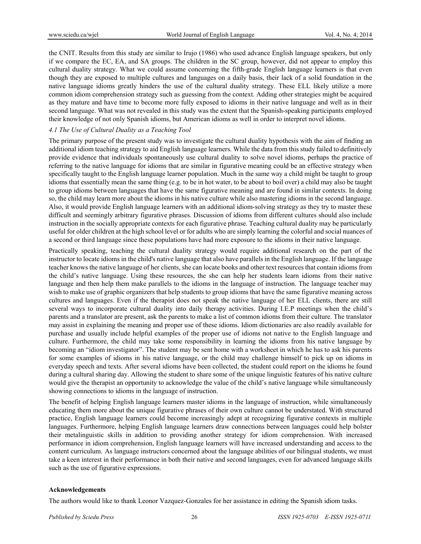the CNIT. Results from this study are similar to Irujo (1986) who used advance English language speakers, but only if we compare the EC, EA, and SA groups. The children in the SC group, however, did not appear to employ this cultural duality strategy. What we could assume concerning the fifth-grade English language learners is that even though they are exposed to multiple cultures and languages on a daily basis, their lack of a solid foundation in the native language idioms greatly hinders the use of the cultural duality strategy. These ELL likely utilize a more common idiom comprehension strategy such as guessing from the context. Adding other strategies might be acquired as they mature and have time to become more fully exposed to idioms in their native language and well as in their second language. What was not revealed in this study was the extent that the Spanish-speaking participants employed their knowledge of not only Spanish idioms, but American idioms as well in order to interpret novel idioms.

## *4.1 The Use of Cultural Duality as a Teaching Tool*

The primary purpose of the present study was to investigate the cultural duality hypothesis with the aim of finding an additional idiom teaching strategy to aid English language learners. While the data from this study failed to definitively provide evidence that individuals spontaneously use cultural duality to solve novel idioms, perhaps the practice of referring to the native language for idioms that are similar in figurative meaning could be an effective strategy when specifically taught to the English language learner population. Much in the same way a child might be taught to group idioms that essentially mean the same thing (e.g. to be in hot water, to be about to boil over) a child may also be taught to group idioms between languages that have the same figurative meaning and are found in similar contexts. In doing so, the child may learn more about the idioms in his native culture while also mastering idioms in the second language. Also, it would provide English language learners with an additional idiom-solving strategy as they try to master these difficult and seemingly arbitrary figurative phrases. Discussion of idioms from different cultures should also include instruction in the socially appropriate contexts for each figurative phrase. Teaching cultural duality may be particularly useful for older children at the high school level or for adults who are simply learning the colorful and social nuances of a second or third language since these populations have had more exposure to the idioms in their native language.

Practically speaking, teaching the cultural duality strategy would require additional research on the part of the instructor to locate idioms in the child's native language that also have parallels in the English language. If the language teacher knows the native language of her clients, she can locate books and other text resources that contain idioms from the child's native language. Using these resources, the she can help her students learn idioms from their native language and then help them make parallels to the idioms in the language of instruction. The language teacher may wish to make use of graphic organizers that help students to group idioms that have the same figurative meaning across cultures and languages. Even if the therapist does not speak the native language of her ELL clients, there are still several ways to incorporate cultural duality into daily therapy activities. During I.E.P meetings when the child's parents and a translator are present, ask the parents to make a list of common idioms from their culture. The translator may assist in explaining the meaning and proper use of these idioms. Idiom dictionaries are also readily available for purchase and usually include helpful examples of the proper use of idioms not native to the English language and culture. Furthermore, the child may take some responsibility in learning the idioms from his native language by becoming an "idiom investigator". The student may be sent home with a worksheet in which he has to ask his parents for some examples of idioms in his native language, or the child may challenge himself to pick up on idioms in everyday speech and texts. After several idioms have been collected, the student could report on the idioms he found during a cultural sharing day. Allowing the student to share some of the unique linguistic features of his native culture would give the therapist an opportunity to acknowledge the value of the child's native language while simultaneously showing connections to idioms in the language of instruction.

The benefit of helping English language learners master idioms in the language of instruction, while simultaneously educating them more about the unique figurative phrases of their own culture cannot be understated. With structured practice, English language learners could become increasingly adept at recognizing figurative contexts in multiple languages. Furthermore, helping English language learners draw connections between languages could help bolster their metalinguistic skills in addition to providing another strategy for idiom comprehension. With increased performance in idiom comprehension, English language learners will have increased understanding and access to the content curriculum. As language instructors concerned about the language abilities of our bilingual students, we must take a keen interest in their performance in both their native and second languages, even for advanced language skills such as the use of figurative expressions.

## **Acknowledgements**

The authors would like to thank Leonor Vazquez-Gonzales for her assistance in editing the Spanish idiom tasks.